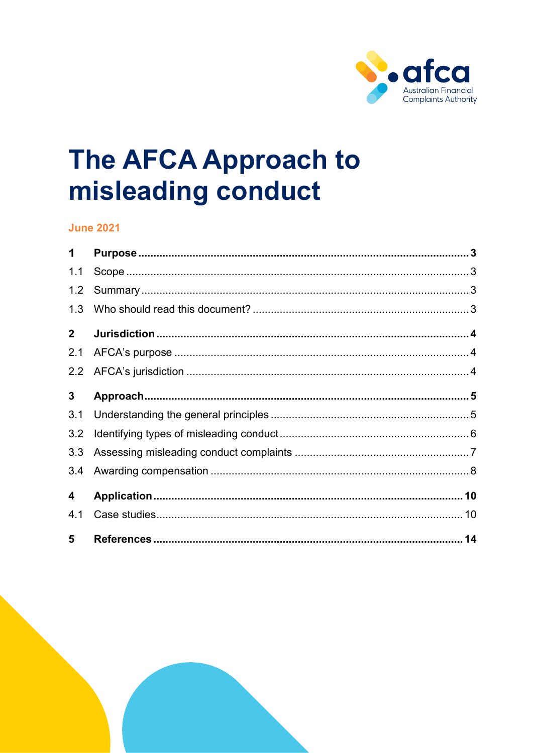

# The AFCA Approach to misleading conduct

#### **June 2021**

| 1            |  |
|--------------|--|
| 1.1          |  |
| 1.2          |  |
| 1.3          |  |
| $\mathbf{2}$ |  |
| 2.1          |  |
| 2.2          |  |
| 3            |  |
| 3.1          |  |
| 3.2          |  |
| 3.3          |  |
| 3.4          |  |
| 4            |  |
| 4.1          |  |
| 5            |  |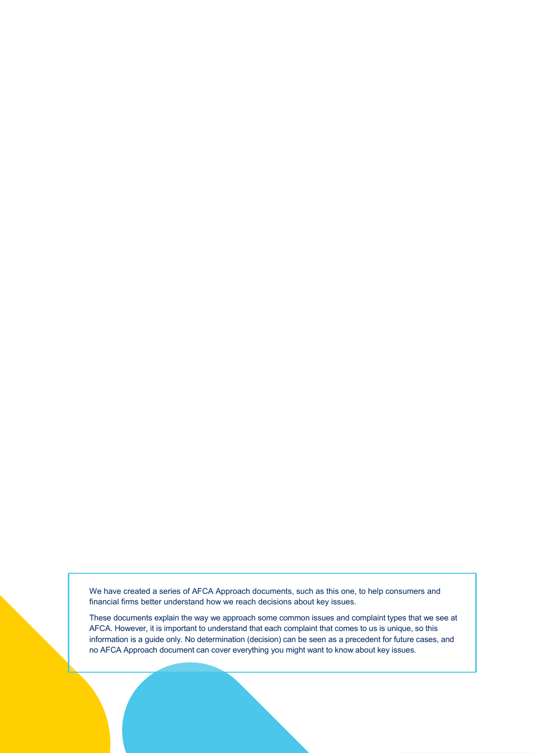We have created a series of AFCA Approach documents, such as this one, to help consumers and financial firms better understand how we reach decisions about key issues.

These documents explain the way we approach some common issues and complaint types that we see at AFCA. However, it is important to understand that each complaint that comes to us is unique, so this information is a guide only. No determination (decision) can be seen as a precedent for future cases, and no AFCA Approach document can cover everything you might want to know about key issues.

The AFCA approach to misleading conduct Page 2 of 14 of 14 of 14 of 14 of 14 of 14 of 14 of 14 of 14 of 14 of 14 of 14 of 14 of 14 of 14 of 14 of 14 of 14 of 14 of 14 of 14 of 14 of 14 of 14 of 14 of 14 of 14 of 14 of 14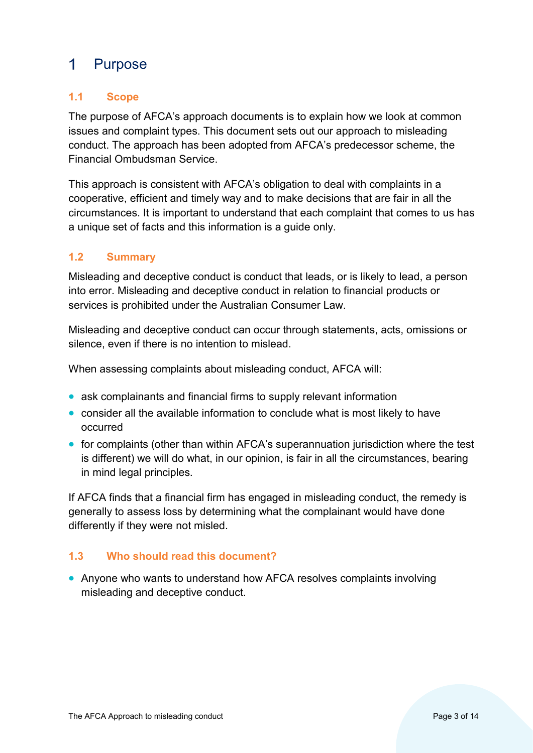#### <span id="page-2-0"></span> $\mathbf 1$ Purpose

# <span id="page-2-1"></span>**1.1 Scope**

The purpose of AFCA's approach documents is to explain how we look at common issues and complaint types. This document sets out our approach to misleading conduct. The approach has been adopted from AFCA's predecessor scheme, the Financial Ombudsman Service.

This approach is consistent with AFCA's obligation to deal with complaints in a cooperative, efficient and timely way and to make decisions that are fair in all the circumstances. It is important to understand that each complaint that comes to us has a unique set of facts and this information is a guide only.

# <span id="page-2-2"></span>**1.2 Summary**

Misleading and deceptive conduct is conduct that leads, or is likely to lead, a person into error. Misleading and deceptive conduct in relation to financial products or services is prohibited under the Australian Consumer Law.

Misleading and deceptive conduct can occur through statements, acts, omissions or silence, even if there is no intention to mislead.

When assessing complaints about misleading conduct, AFCA will:

- ask complainants and financial firms to supply relevant information
- consider all the available information to conclude what is most likely to have occurred
- for complaints (other than within AFCA's superannuation jurisdiction where the test is different) we will do what, in our opinion, is fair in all the circumstances, bearing in mind legal principles.

If AFCA finds that a financial firm has engaged in misleading conduct, the remedy is generally to assess loss by determining what the complainant would have done differently if they were not misled.

# <span id="page-2-3"></span>**1.3 Who should read this document?**

• Anyone who wants to understand how AFCA resolves complaints involving misleading and deceptive conduct.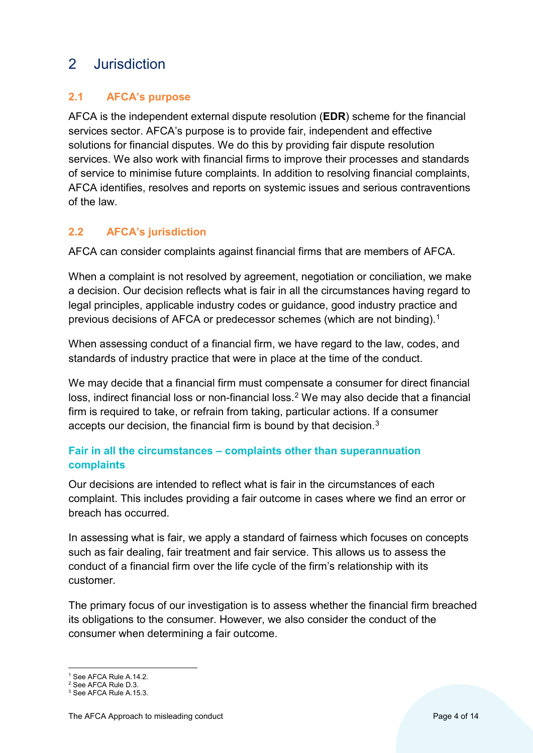# <span id="page-3-0"></span>2 Jurisdiction

# <span id="page-3-1"></span>**2.1 AFCA's purpose**

AFCA is the independent external dispute resolution (**EDR**) scheme for the financial services sector. AFCA's purpose is to provide fair, independent and effective solutions for financial disputes. We do this by providing fair dispute resolution services. We also work with financial firms to improve their processes and standards of service to minimise future complaints. In addition to resolving financial complaints, AFCA identifies, resolves and reports on systemic issues and serious contraventions of the law.

# <span id="page-3-2"></span>**2.2 AFCA's jurisdiction**

AFCA can consider complaints against financial firms that are members of AFCA.

When a complaint is not resolved by agreement, negotiation or conciliation, we make a decision. Our decision reflects what is fair in all the circumstances having regard to legal principles, applicable industry codes or guidance, good industry practice and previous decisions of AFCA or predecessor schemes (which are not binding).[1](#page-3-3) 

When assessing conduct of a financial firm, we have regard to the law, codes, and standards of industry practice that were in place at the time of the conduct.

We may decide that a financial firm must compensate a consumer for direct financial loss, indirect financial loss or non-financial loss.<sup>[2](#page-3-4)</sup> We may also decide that a financial firm is required to take, or refrain from taking, particular actions. If a consumer accepts our decision, the financial firm is bound by that decision.[3](#page-3-5)

# **Fair in all the circumstances – complaints other than superannuation complaints**

Our decisions are intended to reflect what is fair in the circumstances of each complaint. This includes providing a fair outcome in cases where we find an error or breach has occurred.

In assessing what is fair, we apply a standard of fairness which focuses on concepts such as fair dealing, fair treatment and fair service. This allows us to assess the conduct of a financial firm over the life cycle of the firm's relationship with its customer.

The primary focus of our investigation is to assess whether the financial firm breached its obligations to the consumer. However, we also consider the conduct of the consumer when determining a fair outcome.

<sup>&</sup>lt;sup>1</sup> See AFCA Rule A.14.2.

<span id="page-3-4"></span><span id="page-3-3"></span><sup>2</sup> See AFCA Rule D.3.

<span id="page-3-5"></span><sup>3</sup> See AFCA Rule A.15.3.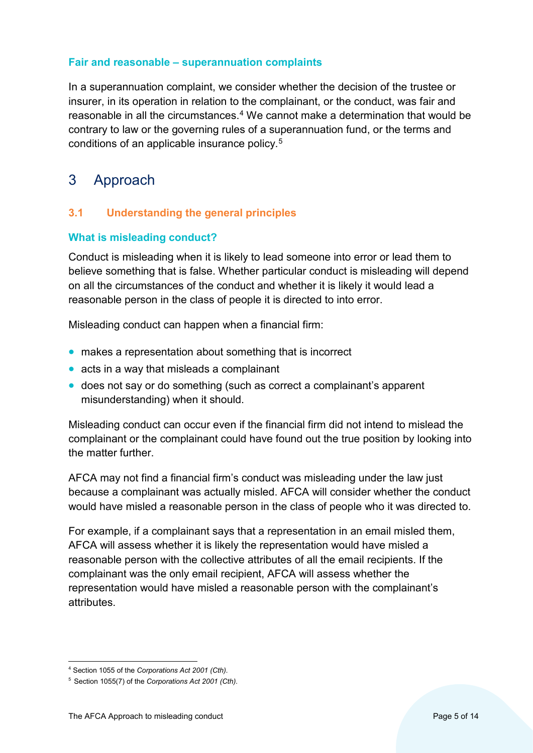#### **Fair and reasonable – superannuation complaints**

In a superannuation complaint, we consider whether the decision of the trustee or insurer, in its operation in relation to the complainant, or the conduct, was fair and reasonable in all the circumstances.<sup>[4](#page-4-2)</sup> We cannot make a determination that would be contrary to law or the governing rules of a superannuation fund, or the terms and conditions of an applicable insurance policy.[5](#page-4-3)

# <span id="page-4-0"></span>3 Approach

# <span id="page-4-1"></span>**3.1 Understanding the general principles**

#### **What is misleading conduct?**

Conduct is misleading when it is likely to lead someone into error or lead them to believe something that is false. Whether particular conduct is misleading will depend on all the circumstances of the conduct and whether it is likely it would lead a reasonable person in the class of people it is directed to into error.

Misleading conduct can happen when a financial firm:

- makes a representation about something that is incorrect
- acts in a way that misleads a complainant
- does not say or do something (such as correct a complainant's apparent misunderstanding) when it should.

Misleading conduct can occur even if the financial firm did not intend to mislead the complainant or the complainant could have found out the true position by looking into the matter further.

AFCA may not find a financial firm's conduct was misleading under the law just because a complainant was actually misled. AFCA will consider whether the conduct would have misled a reasonable person in the class of people who it was directed to.

For example, if a complainant says that a representation in an email misled them, AFCA will assess whether it is likely the representation would have misled a reasonable person with the collective attributes of all the email recipients. If the complainant was the only email recipient, AFCA will assess whether the representation would have misled a reasonable person with the complainant's attributes.

<span id="page-4-2"></span> <sup>4</sup> Section <sup>1055</sup> of the *Corporations Act 2001 (Cth)*.

<span id="page-4-3"></span><sup>5</sup> Section 1055(7) of the *Corporations Act 2001 (Cth)*.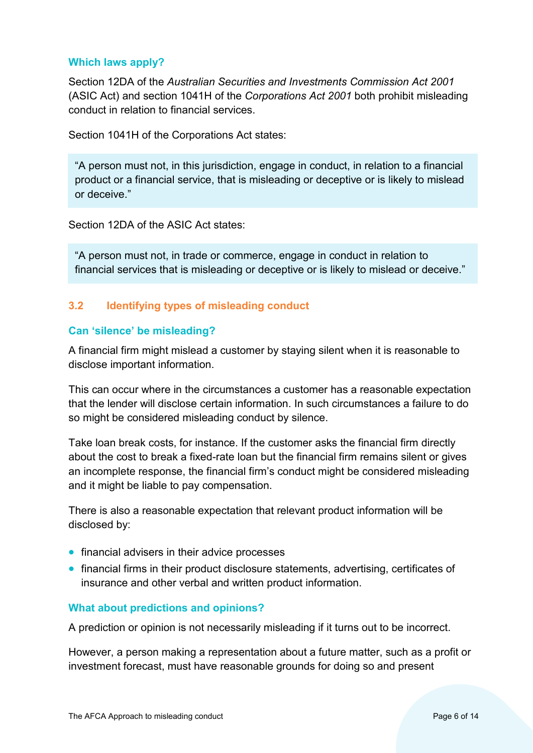#### **Which laws apply?**

Section 12DA of the *Australian Securities and Investments Commission Act 2001* (ASIC Act) and section 1041H of the *Corporations Act 2001* both prohibit misleading conduct in relation to financial services.

Section 1041H of the Corporations Act states:

"A person must not, in this jurisdiction, engage in conduct, in relation to a financial product or a financial service, that is misleading or deceptive or is likely to mislead or deceive."

Section 12DA of the ASIC Act states:

"A person must not, in trade or commerce, engage in conduct in relation to financial services that is misleading or deceptive or is likely to mislead or deceive."

# <span id="page-5-0"></span>**3.2 Identifying types of misleading conduct**

#### **Can 'silence' be misleading?**

A financial firm might mislead a customer by staying silent when it is reasonable to disclose important information.

This can occur where in the circumstances a customer has a reasonable expectation that the lender will disclose certain information. In such circumstances a failure to do so might be considered misleading conduct by silence.

Take loan break costs, for instance. If the customer asks the financial firm directly about the cost to break a fixed-rate loan but the financial firm remains silent or gives an incomplete response, the financial firm's conduct might be considered misleading and it might be liable to pay compensation.

There is also a reasonable expectation that relevant product information will be disclosed by:

- financial advisers in their advice processes
- financial firms in their product disclosure statements, advertising, certificates of insurance and other verbal and written product information.

#### **What about predictions and opinions?**

A prediction or opinion is not necessarily misleading if it turns out to be incorrect.

However, a person making a representation about a future matter, such as a profit or investment forecast, must have reasonable grounds for doing so and present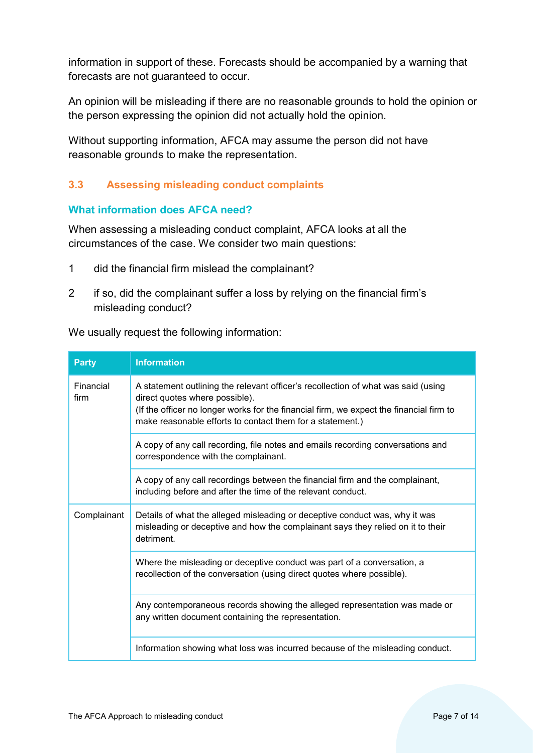information in support of these. Forecasts should be accompanied by a warning that forecasts are not guaranteed to occur.

An opinion will be misleading if there are no reasonable grounds to hold the opinion or the person expressing the opinion did not actually hold the opinion.

Without supporting information, AFCA may assume the person did not have reasonable grounds to make the representation.

# <span id="page-6-0"></span>**3.3 Assessing misleading conduct complaints**

#### **What information does AFCA need?**

When assessing a misleading conduct complaint, AFCA looks at all the circumstances of the case. We consider two main questions:

- 1 did the financial firm mislead the complainant?
- 2 if so, did the complainant suffer a loss by relying on the financial firm's misleading conduct?

We usually request the following information:

| <b>Party</b>      | <b>Information</b>                                                                                                                                                                                                                                                          |
|-------------------|-----------------------------------------------------------------------------------------------------------------------------------------------------------------------------------------------------------------------------------------------------------------------------|
| Financial<br>firm | A statement outlining the relevant officer's recollection of what was said (using<br>direct quotes where possible).<br>(If the officer no longer works for the financial firm, we expect the financial firm to<br>make reasonable efforts to contact them for a statement.) |
|                   | A copy of any call recording, file notes and emails recording conversations and<br>correspondence with the complainant.                                                                                                                                                     |
|                   | A copy of any call recordings between the financial firm and the complainant,<br>including before and after the time of the relevant conduct.                                                                                                                               |
| Complainant       | Details of what the alleged misleading or deceptive conduct was, why it was<br>misleading or deceptive and how the complainant says they relied on it to their<br>detriment.                                                                                                |
|                   | Where the misleading or deceptive conduct was part of a conversation, a<br>recollection of the conversation (using direct quotes where possible).                                                                                                                           |
|                   | Any contemporaneous records showing the alleged representation was made or<br>any written document containing the representation.                                                                                                                                           |
|                   | Information showing what loss was incurred because of the misleading conduct.                                                                                                                                                                                               |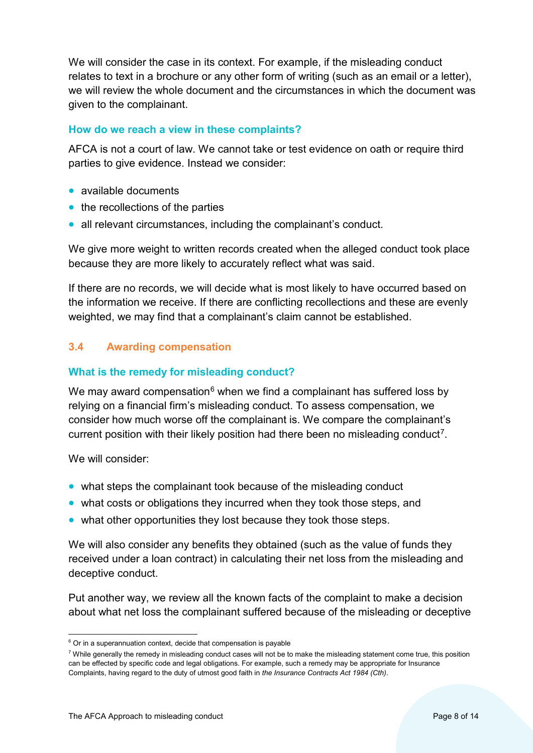We will consider the case in its context. For example, if the misleading conduct relates to text in a brochure or any other form of writing (such as an email or a letter), we will review the whole document and the circumstances in which the document was given to the complainant.

#### **How do we reach a view in these complaints?**

AFCA is not a court of law. We cannot take or test evidence on oath or require third parties to give evidence. Instead we consider:

- available documents
- the recollections of the parties
- all relevant circumstances, including the complainant's conduct.

We give more weight to written records created when the alleged conduct took place because they are more likely to accurately reflect what was said.

If there are no records, we will decide what is most likely to have occurred based on the information we receive. If there are conflicting recollections and these are evenly weighted, we may find that a complainant's claim cannot be established.

# <span id="page-7-0"></span>**3.4 Awarding compensation**

#### **What is the remedy for misleading conduct?**

We may award compensation<sup>[6](#page-7-1)</sup> when we find a complainant has suffered loss by relying on a financial firm's misleading conduct. To assess compensation, we consider how much worse off the complainant is. We compare the complainant's current position with their likely position had there been no misleading conduct<sup>7</sup>.

We will consider:

- what steps the complainant took because of the misleading conduct
- what costs or obligations they incurred when they took those steps, and
- what other opportunities they lost because they took those steps.

We will also consider any benefits they obtained (such as the value of funds they received under a loan contract) in calculating their net loss from the misleading and deceptive conduct.

Put another way, we review all the known facts of the complaint to make a decision about what net loss the complainant suffered because of the misleading or deceptive

<span id="page-7-1"></span> $6$  Or in a superannuation context, decide that compensation is payable

<span id="page-7-2"></span><sup>7</sup> While generally the remedy in misleading conduct cases will not be to make the misleading statement come true, this position can be effected by specific code and legal obligations. For example, such a remedy may be appropriate for Insurance Complaints, having regard to the duty of utmost good faith in *the Insurance Contracts Act 1984 (Cth)*.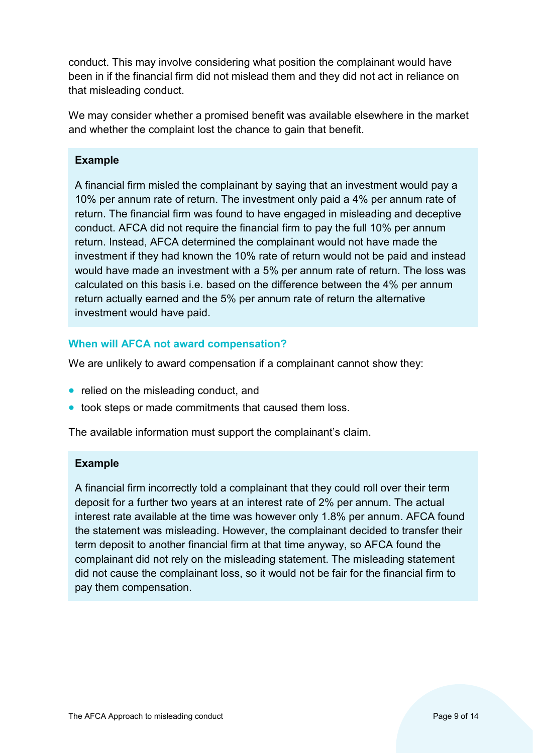conduct. This may involve considering what position the complainant would have been in if the financial firm did not mislead them and they did not act in reliance on that misleading conduct.

We may consider whether a promised benefit was available elsewhere in the market and whether the complaint lost the chance to gain that benefit.

### **Example**

A financial firm misled the complainant by saying that an investment would pay a 10% per annum rate of return. The investment only paid a 4% per annum rate of return. The financial firm was found to have engaged in misleading and deceptive conduct. AFCA did not require the financial firm to pay the full 10% per annum return. Instead, AFCA determined the complainant would not have made the investment if they had known the 10% rate of return would not be paid and instead would have made an investment with a 5% per annum rate of return. The loss was calculated on this basis i.e. based on the difference between the 4% per annum return actually earned and the 5% per annum rate of return the alternative investment would have paid.

#### **When will AFCA not award compensation?**

We are unlikely to award compensation if a complainant cannot show they:

- relied on the misleading conduct, and
- took steps or made commitments that caused them loss.

The available information must support the complainant's claim.

#### **Example**

A financial firm incorrectly told a complainant that they could roll over their term deposit for a further two years at an interest rate of 2% per annum. The actual interest rate available at the time was however only 1.8% per annum. AFCA found the statement was misleading. However, the complainant decided to transfer their term deposit to another financial firm at that time anyway, so AFCA found the complainant did not rely on the misleading statement. The misleading statement did not cause the complainant loss, so it would not be fair for the financial firm to pay them compensation.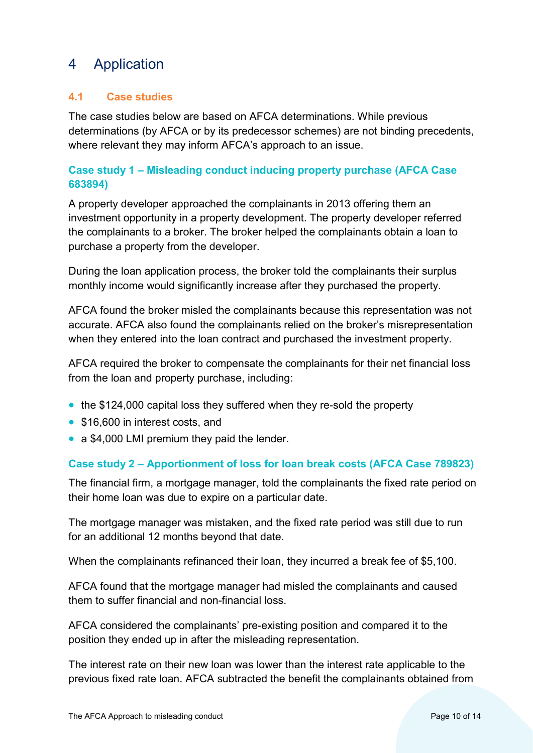# <span id="page-9-0"></span>4 Application

# <span id="page-9-1"></span>**4.1 Case studies**

The case studies below are based on AFCA determinations. While previous determinations (by AFCA or by its predecessor schemes) are not binding precedents, where relevant they may inform AFCA's approach to an issue.

# **Case study 1 – Misleading conduct inducing property purchase (AFCA Case 683894)**

A property developer approached the complainants in 2013 offering them an investment opportunity in a property development. The property developer referred the complainants to a broker. The broker helped the complainants obtain a loan to purchase a property from the developer.

During the loan application process, the broker told the complainants their surplus monthly income would significantly increase after they purchased the property.

AFCA found the broker misled the complainants because this representation was not accurate. AFCA also found the complainants relied on the broker's misrepresentation when they entered into the loan contract and purchased the investment property.

AFCA required the broker to compensate the complainants for their net financial loss from the loan and property purchase, including:

- the \$124,000 capital loss they suffered when they re-sold the property
- \$16,600 in interest costs, and
- a \$4,000 LMI premium they paid the lender.

# **Case study 2 – Apportionment of loss for loan break costs (AFCA Case 789823)**

The financial firm, a mortgage manager, told the complainants the fixed rate period on their home loan was due to expire on a particular date.

The mortgage manager was mistaken, and the fixed rate period was still due to run for an additional 12 months beyond that date.

When the complainants refinanced their loan, they incurred a break fee of \$5,100.

AFCA found that the mortgage manager had misled the complainants and caused them to suffer financial and non-financial loss.

AFCA considered the complainants' pre-existing position and compared it to the position they ended up in after the misleading representation.

The interest rate on their new loan was lower than the interest rate applicable to the previous fixed rate loan. AFCA subtracted the benefit the complainants obtained from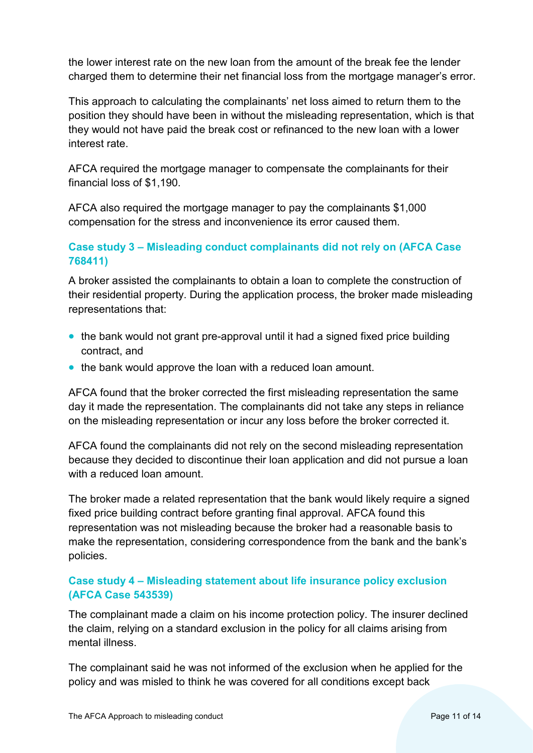the lower interest rate on the new loan from the amount of the break fee the lender charged them to determine their net financial loss from the mortgage manager's error.

This approach to calculating the complainants' net loss aimed to return them to the position they should have been in without the misleading representation, which is that they would not have paid the break cost or refinanced to the new loan with a lower interest rate.

AFCA required the mortgage manager to compensate the complainants for their financial loss of \$1,190.

AFCA also required the mortgage manager to pay the complainants \$1,000 compensation for the stress and inconvenience its error caused them.

# **Case study 3 – Misleading conduct complainants did not rely on (AFCA Case 768411)**

A broker assisted the complainants to obtain a loan to complete the construction of their residential property. During the application process, the broker made misleading representations that:

- the bank would not grant pre-approval until it had a signed fixed price building contract, and
- the bank would approve the loan with a reduced loan amount.

AFCA found that the broker corrected the first misleading representation the same day it made the representation. The complainants did not take any steps in reliance on the misleading representation or incur any loss before the broker corrected it.

AFCA found the complainants did not rely on the second misleading representation because they decided to discontinue their loan application and did not pursue a loan with a reduced loan amount.

The broker made a related representation that the bank would likely require a signed fixed price building contract before granting final approval. AFCA found this representation was not misleading because the broker had a reasonable basis to make the representation, considering correspondence from the bank and the bank's policies.

# **Case study 4 – Misleading statement about life insurance policy exclusion (AFCA Case 543539)**

The complainant made a claim on his income protection policy. The insurer declined the claim, relying on a standard exclusion in the policy for all claims arising from mental illness.

The complainant said he was not informed of the exclusion when he applied for the policy and was misled to think he was covered for all conditions except back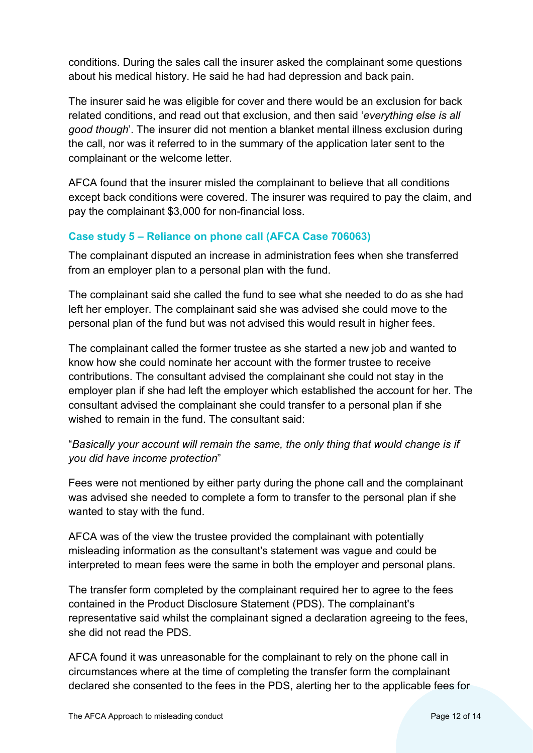conditions. During the sales call the insurer asked the complainant some questions about his medical history. He said he had had depression and back pain.

The insurer said he was eligible for cover and there would be an exclusion for back related conditions, and read out that exclusion, and then said '*everything else is all good though*'. The insurer did not mention a blanket mental illness exclusion during the call, nor was it referred to in the summary of the application later sent to the complainant or the welcome letter.

AFCA found that the insurer misled the complainant to believe that all conditions except back conditions were covered. The insurer was required to pay the claim, and pay the complainant \$3,000 for non-financial loss.

# **Case study 5 – Reliance on phone call (AFCA Case 706063)**

The complainant disputed an increase in administration fees when she transferred from an employer plan to a personal plan with the fund.

The complainant said she called the fund to see what she needed to do as she had left her employer. The complainant said she was advised she could move to the personal plan of the fund but was not advised this would result in higher fees.

The complainant called the former trustee as she started a new job and wanted to know how she could nominate her account with the former trustee to receive contributions. The consultant advised the complainant she could not stay in the employer plan if she had left the employer which established the account for her. The consultant advised the complainant she could transfer to a personal plan if she wished to remain in the fund. The consultant said:

# "*Basically your account will remain the same, the only thing that would change is if you did have income protection*"

Fees were not mentioned by either party during the phone call and the complainant was advised she needed to complete a form to transfer to the personal plan if she wanted to stay with the fund.

AFCA was of the view the trustee provided the complainant with potentially misleading information as the consultant's statement was vague and could be interpreted to mean fees were the same in both the employer and personal plans.

The transfer form completed by the complainant required her to agree to the fees contained in the Product Disclosure Statement (PDS). The complainant's representative said whilst the complainant signed a declaration agreeing to the fees, she did not read the PDS.

AFCA found it was unreasonable for the complainant to rely on the phone call in circumstances where at the time of completing the transfer form the complainant declared she consented to the fees in the PDS, alerting her to the applicable fees for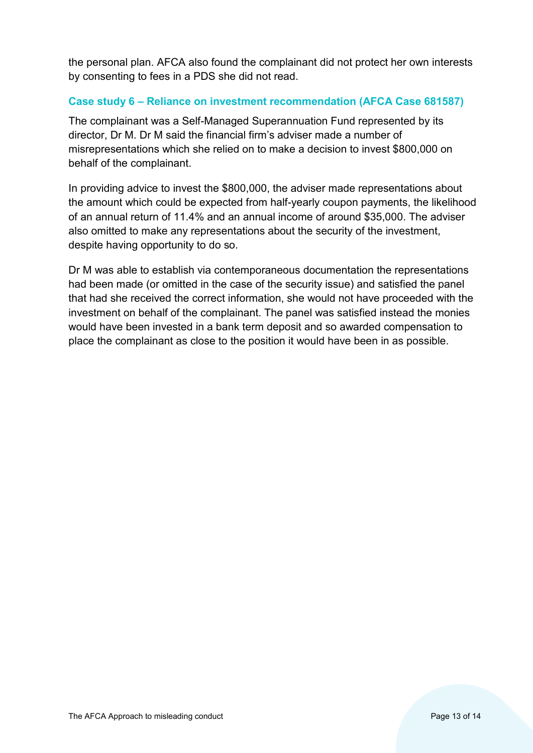the personal plan. AFCA also found the complainant did not protect her own interests by consenting to fees in a PDS she did not read.

# **Case study 6 – Reliance on investment recommendation (AFCA Case 681587)**

The complainant was a Self-Managed Superannuation Fund represented by its director, Dr M. Dr M said the financial firm's adviser made a number of misrepresentations which she relied on to make a decision to invest \$800,000 on behalf of the complainant.

In providing advice to invest the \$800,000, the adviser made representations about the amount which could be expected from half-yearly coupon payments, the likelihood of an annual return of 11.4% and an annual income of around \$35,000. The adviser also omitted to make any representations about the security of the investment, despite having opportunity to do so.

Dr M was able to establish via contemporaneous documentation the representations had been made (or omitted in the case of the security issue) and satisfied the panel that had she received the correct information, she would not have proceeded with the investment on behalf of the complainant. The panel was satisfied instead the monies would have been invested in a bank term deposit and so awarded compensation to place the complainant as close to the position it would have been in as possible.